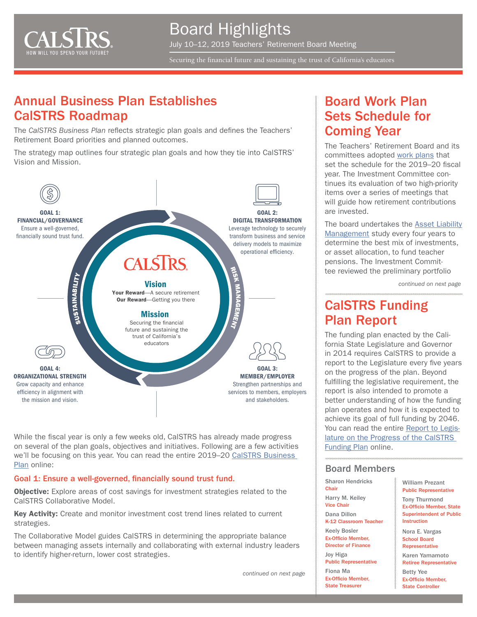

Board Highlights July 10–12, 2019 Teachers' Retirement Board Meeting

Securing the financial future and sustaining the trust of California's educators

## Annual Business Plan Establishes CalSTRS Roadmap

The *CalSTRS Business Plan* reflects strategic plan goals and defines the Teachers' Retirement Board priorities and planned outcomes.

The strategy map outlines four strategic plan goals and how they tie into CalSTRS' Vision and Mission.



While the fiscal year is only a few weeks old, CalSTRS has already made progress on several of the plan goals, objectives and initiatives. Following are a few activities we'll be focusing on this year. You can read the entire 2019–20 [CalSTRS Business](https://resources.calstrs.com/publicdocs/Page/CommonPage.aspx?PageName=DocumentDownload&Id=0c676268-3a8a-4c90-b1be-4945a3595238)  [Plan](https://resources.calstrs.com/publicdocs/Page/CommonPage.aspx?PageName=DocumentDownload&Id=0c676268-3a8a-4c90-b1be-4945a3595238) online:

#### Goal 1: Ensure a well-governed, financially sound trust fund.

**Objective:** Explore areas of cost savings for investment strategies related to the CalSTRS Collaborative Model.

Key Activity: Create and monitor investment cost trend lines related to current strategies.

The Collaborative Model guides CalSTRS in determining the appropriate balance between managing assets internally and collaborating with external industry leaders to identify higher-return, lower cost strategies.

*continued on next page*

## Board Work Plan Sets Schedule for Coming Year

The Teachers' Retirement Board and its committees adopted [work plans](https://resources.calstrs.com/publicdocs/Page/CommonPage.aspx?PageName=DocumentDownload&Id=3d00ea27-2d78-4cf3-9490-996faa863fd8) that set the schedule for the 2019–20 fiscal year. The Investment Committee continues its evaluation of two high-priority items over a series of meetings that will guide how retirement contributions are invested.

The board undertakes the [Asset Liability](https://www.calstrs.com/asset-liability-management-study) [Management](https://www.calstrs.com/asset-liability-management-study) study every four years to determine the best mix of investments, or asset allocation, to fund teacher pensions. The Investment Committee reviewed the preliminary portfolio

*continued on next page*

# CalSTRS Funding Plan Report

The funding plan enacted by the California State Legislature and Governor in 2014 requires CalSTRS to provide a report to the Legislature every five years on the progress of the plan. Beyond fulfilling the legislative requirement, the report is also intended to promote a better understanding of how the funding plan operates and how it is expected to achieve its goal of full funding by 2046. You can read the entire [Report to Legis](https://www.calstrs.com/sites/default/files/file-attachments/calstrsfundingplanreport.pdf)[lature on the Progress of the CalSTRS](https://www.calstrs.com/sites/default/files/file-attachments/calstrsfundingplanreport.pdf)  [Funding Plan](https://www.calstrs.com/sites/default/files/file-attachments/calstrsfundingplanreport.pdf) online.

#### Board Members

Sharon Hendricks **Chair** Harry M. Keiley Vice Chair Dana Dillon K-12 Classroom Teacher Keely Bosler Ex-Officio Member, Director of Finance Joy Higa Public Representative Fiona Ma Ex-Officio Member, State Treasurer

William Prezant Public Representative Tony Thurmond Ex-Officio Member, State Superintendent of Public Instruction

Nora E. Vargas School Board **Representative** 

Karen Yamamoto Retiree Representative

Betty Yee Ex-Officio Member,

State Controller